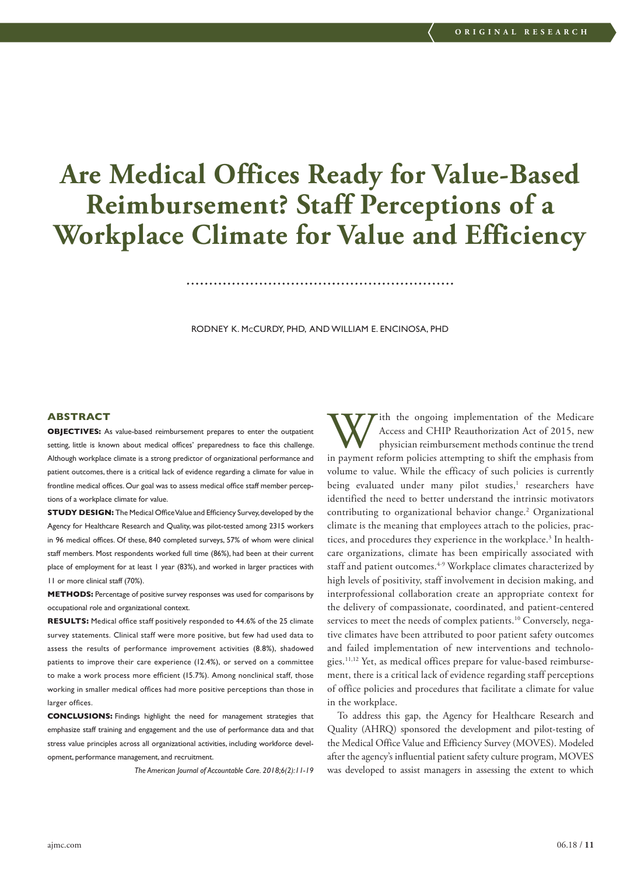# **Are Medical Offices Ready for Value-Based Reimbursement? Staff Perceptions of a Workplace Climate for Value and Efficiency**

RODNEY K. McCURDY, PHD, AND WILLIAM E. ENCINOSA, PHD

# **ABSTRACT**

**OBJECTIVES:** As value-based reimbursement prepares to enter the outpatient setting, little is known about medical offices' preparedness to face this challenge. Although workplace climate is a strong predictor of organizational performance and patient outcomes, there is a critical lack of evidence regarding a climate for value in frontline medical offices. Our goal was to assess medical office staff member perceptions of a workplace climate for value.

**STUDY DESIGN:** The Medical Office Value and Efficiency Survey, developed by the Agency for Healthcare Research and Quality, was pilot-tested among 2315 workers in 96 medical offices. Of these, 840 completed surveys, 57% of whom were clinical staff members. Most respondents worked full time (86%), had been at their current place of employment for at least 1 year (83%), and worked in larger practices with 11 or more clinical staff (70%).

**METHODS:** Percentage of positive survey responses was used for comparisons by occupational role and organizational context.

**RESULTS:** Medical office staff positively responded to 44.6% of the 25 climate survey statements. Clinical staff were more positive, but few had used data to assess the results of performance improvement activities (8.8%), shadowed patients to improve their care experience (12.4%), or served on a committee to make a work process more efficient (15.7%). Among nonclinical staff, those working in smaller medical offices had more positive perceptions than those in larger offices.

**CONCLUSIONS:** Findings highlight the need for management strategies that emphasize staff training and engagement and the use of performance data and that stress value principles across all organizational activities, including workforce development, performance management, and recruitment.

*The American Journal of Accountable Care. 2018;6(2):11-19*

With the ongoing implementation of the Medicare<br>Access and CHIP Reauthorization Act of 2015, new<br>physician reimbursement methods continue the trend<br>in payment reform policies attempting to shift the emphasis from Access and CHIP Reauthorization Act of 2015, new physician reimbursement methods continue the trend in payment reform policies attempting to shift the emphasis from volume to value. While the efficacy of such policies is currently being evaluated under many pilot studies,<sup>1</sup> researchers have identified the need to better understand the intrinsic motivators contributing to organizational behavior change.2 Organizational climate is the meaning that employees attach to the policies, practices, and procedures they experience in the workplace.<sup>3</sup> In healthcare organizations, climate has been empirically associated with staff and patient outcomes.<sup>4-9</sup> Workplace climates characterized by high levels of positivity, staff involvement in decision making, and interprofessional collaboration create an appropriate context for the delivery of compassionate, coordinated, and patient-centered services to meet the needs of complex patients.<sup>10</sup> Conversely, negative climates have been attributed to poor patient safety outcomes and failed implementation of new interventions and technologies.11,12 Yet, as medical offices prepare for value-based reimbursement, there is a critical lack of evidence regarding staff perceptions of office policies and procedures that facilitate a climate for value in the workplace.

To address this gap, the Agency for Healthcare Research and Quality (AHRQ) sponsored the development and pilot-testing of the Medical Office Value and Efficiency Survey (MOVES). Modeled after the agency's influential patient safety culture program, MOVES was developed to assist managers in assessing the extent to which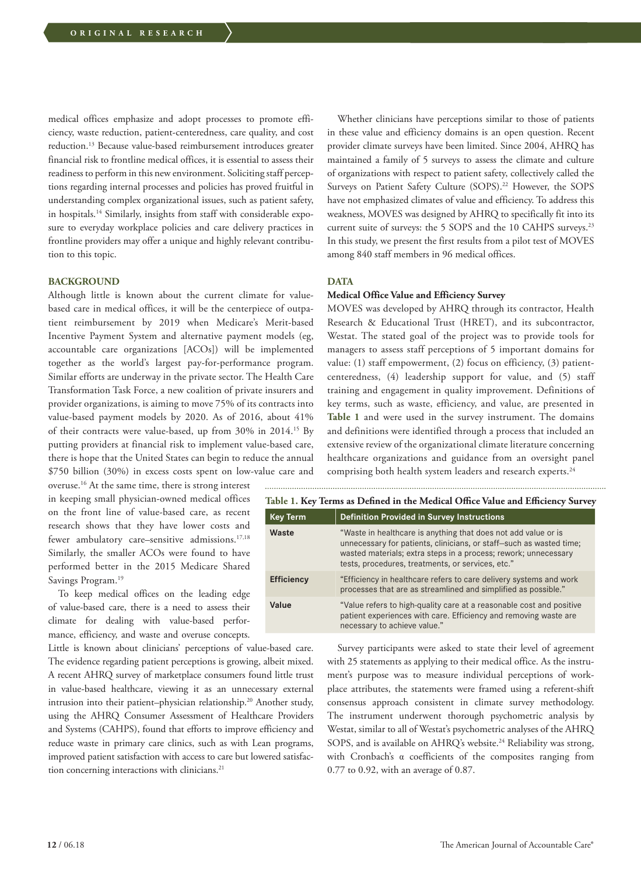medical offices emphasize and adopt processes to promote efficiency, waste reduction, patient-centeredness, care quality, and cost reduction.13 Because value-based reimbursement introduces greater financial risk to frontline medical offices, it is essential to assess their readiness to perform in this new environment. Soliciting staff perceptions regarding internal processes and policies has proved fruitful in understanding complex organizational issues, such as patient safety, in hospitals.14 Similarly, insights from staff with considerable exposure to everyday workplace policies and care delivery practices in frontline providers may offer a unique and highly relevant contribution to this topic.

## **BACKGROUND**

Although little is known about the current climate for valuebased care in medical offices, it will be the centerpiece of outpatient reimbursement by 2019 when Medicare's Merit-based Incentive Payment System and alternative payment models (eg, accountable care organizations [ACOs]) will be implemented together as the world's largest pay-for-performance program. Similar efforts are underway in the private sector. The Health Care Transformation Task Force, a new coalition of private insurers and provider organizations, is aiming to move 75% of its contracts into value-based payment models by 2020. As of 2016, about 41% of their contracts were value-based, up from 30% in 2014.15 By putting providers at financial risk to implement value-based care, there is hope that the United States can begin to reduce the annual \$750 billion (30%) in excess costs spent on low-value care and

overuse.16 At the same time, there is strong interest in keeping small physician-owned medical offices on the front line of value-based care, as recent research shows that they have lower costs and fewer ambulatory care–sensitive admissions.<sup>17,18</sup> Similarly, the smaller ACOs were found to have performed better in the 2015 Medicare Shared Savings Program.<sup>19</sup>

To keep medical offices on the leading edge of value-based care, there is a need to assess their climate for dealing with value-based performance, efficiency, and waste and overuse concepts.

Little is known about clinicians' perceptions of value-based care. The evidence regarding patient perceptions is growing, albeit mixed. A recent AHRQ survey of marketplace consumers found little trust in value-based healthcare, viewing it as an unnecessary external intrusion into their patient–physician relationship.<sup>20</sup> Another study, using the AHRQ Consumer Assessment of Healthcare Providers and Systems (CAHPS), found that efforts to improve efficiency and reduce waste in primary care clinics, such as with Lean programs, improved patient satisfaction with access to care but lowered satisfaction concerning interactions with clinicians.<sup>21</sup>

Whether clinicians have perceptions similar to those of patients in these value and efficiency domains is an open question. Recent provider climate surveys have been limited. Since 2004, AHRQ has maintained a family of 5 surveys to assess the climate and culture of organizations with respect to patient safety, collectively called the Surveys on Patient Safety Culture (SOPS).<sup>22</sup> However, the SOPS have not emphasized climates of value and efficiency. To address this weakness, MOVES was designed by AHRQ to specifically fit into its current suite of surveys: the 5 SOPS and the 10 CAHPS surveys.<sup>23</sup> In this study, we present the first results from a pilot test of MOVES among 840 staff members in 96 medical offices.

#### **DATA**

# **Medical Office Value and Efficiency Survey**

MOVES was developed by AHRQ through its contractor, Health Research & Educational Trust (HRET), and its subcontractor, Westat. The stated goal of the project was to provide tools for managers to assess staff perceptions of 5 important domains for value: (1) staff empowerment, (2) focus on efficiency, (3) patientcenteredness, (4) leadership support for value, and (5) staff training and engagement in quality improvement. Definitions of key terms, such as waste, efficiency, and value, are presented in **Table 1** and were used in the survey instrument. The domains and definitions were identified through a process that included an extensive review of the organizational climate literature concerning healthcare organizations and guidance from an oversight panel comprising both health system leaders and research experts.<sup>24</sup>

| Table 1. Key Terms as Defined in the Medical Office Value and Efficiency Survey |                                                                                                                                                                                                                                                               |  |  |  |  |
|---------------------------------------------------------------------------------|---------------------------------------------------------------------------------------------------------------------------------------------------------------------------------------------------------------------------------------------------------------|--|--|--|--|
| <b>Key Term</b>                                                                 | <b>Definition Provided in Survey Instructions</b>                                                                                                                                                                                                             |  |  |  |  |
| Waste                                                                           | "Waste in healthcare is anything that does not add value or is<br>unnecessary for patients, clinicians, or staff-such as wasted time;<br>wasted materials; extra steps in a process; rework; unnecessary<br>tests, procedures, treatments, or services, etc." |  |  |  |  |
| <b>Efficiency</b>                                                               | "Efficiency in healthcare refers to care delivery systems and work<br>processes that are as streamlined and simplified as possible."                                                                                                                          |  |  |  |  |
| Value                                                                           | "Value refers to high-quality care at a reasonable cost and positive<br>patient experiences with care. Efficiency and removing waste are<br>necessary to achieve value."                                                                                      |  |  |  |  |

Survey participants were asked to state their level of agreement with 25 statements as applying to their medical office. As the instrument's purpose was to measure individual perceptions of workplace attributes, the statements were framed using a referent-shift consensus approach consistent in climate survey methodology. The instrument underwent thorough psychometric analysis by Westat, similar to all of Westat's psychometric analyses of the AHRQ SOPS, and is available on AHRQ's website.<sup>24</sup> Reliability was strong, with Cronbach's α coefficients of the composites ranging from 0.77 to 0.92, with an average of 0.87.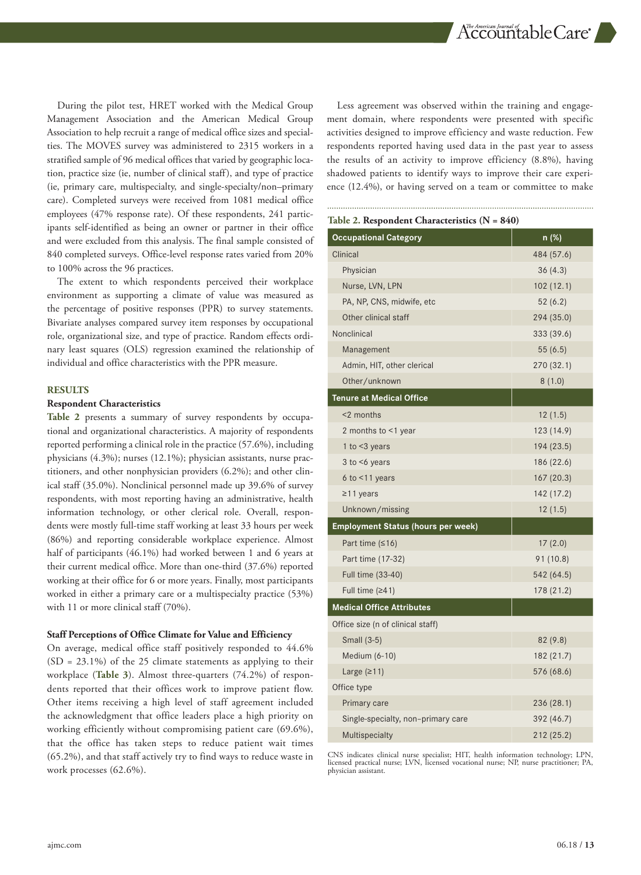$\Lambda$ c ${\rm ccount}$ a sherican Journal of  ${\rm d}$ 

During the pilot test, HRET worked with the Medical Group Management Association and the American Medical Group Association to help recruit a range of medical office sizes and specialties. The MOVES survey was administered to 2315 workers in a stratified sample of 96 medical offices that varied by geographic location, practice size (ie, number of clinical staff), and type of practice (ie, primary care, multispecialty, and single-specialty/non–primary care). Completed surveys were received from 1081 medical office employees (47% response rate). Of these respondents, 241 participants self-identified as being an owner or partner in their office and were excluded from this analysis. The final sample consisted of 840 completed surveys. Office-level response rates varied from 20% to 100% across the 96 practices.

The extent to which respondents perceived their workplace environment as supporting a climate of value was measured as the percentage of positive responses (PPR) to survey statements. Bivariate analyses compared survey item responses by occupational role, organizational size, and type of practice. Random effects ordinary least squares (OLS) regression examined the relationship of individual and office characteristics with the PPR measure.

#### **RESULTS**

#### **Respondent Characteristics**

**Table 2** presents a summary of survey respondents by occupational and organizational characteristics. A majority of respondents reported performing a clinical role in the practice (57.6%), including physicians (4.3%); nurses (12.1%); physician assistants, nurse practitioners, and other nonphysician providers (6.2%); and other clinical staff (35.0%). Nonclinical personnel made up 39.6% of survey respondents, with most reporting having an administrative, health information technology, or other clerical role. Overall, respondents were mostly full-time staff working at least 33 hours per week (86%) and reporting considerable workplace experience. Almost half of participants (46.1%) had worked between 1 and 6 years at their current medical office. More than one-third (37.6%) reported working at their office for 6 or more years. Finally, most participants worked in either a primary care or a multispecialty practice (53%) with 11 or more clinical staff (70%).

#### **Staff Perceptions of Office Climate for Value and Efficiency**

On average, medical office staff positively responded to 44.6% (SD = 23.1%) of the 25 climate statements as applying to their workplace (**Table 3**). Almost three-quarters (74.2%) of respondents reported that their offices work to improve patient flow. Other items receiving a high level of staff agreement included the acknowledgment that office leaders place a high priority on working efficiently without compromising patient care (69.6%), that the office has taken steps to reduce patient wait times (65.2%), and that staff actively try to find ways to reduce waste in work processes (62.6%).

Less agreement was observed within the training and engagement domain, where respondents were presented with specific activities designed to improve efficiency and waste reduction. Few respondents reported having used data in the past year to assess the results of an activity to improve efficiency (8.8%), having shadowed patients to identify ways to improve their care experience (12.4%), or having served on a team or committee to make

#### **Table 2. Respondent Characteristics (N = 840)**

| <b>Occupational Category</b>              | n (%)      |
|-------------------------------------------|------------|
| Clinical                                  | 484 (57.6) |
| Physician                                 | 36(4.3)    |
| Nurse, LVN, LPN                           | 102(12.1)  |
| PA, NP, CNS, midwife, etc                 | 52(6.2)    |
| Other clinical staff                      | 294 (35.0) |
| Nonclinical                               | 333 (39.6) |
| Management                                | 55(6.5)    |
| Admin, HIT, other clerical                | 270 (32.1) |
| Other/unknown                             | 8(1.0)     |
| <b>Tenure at Medical Office</b>           |            |
| <2 months                                 | 12(1.5)    |
| 2 months to <1 year                       | 123 (14.9) |
| 1 to $<$ 3 years                          | 194 (23.5) |
| $3$ to $\leq 6$ years                     | 186 (22.6) |
| $6$ to $<$ 11 years                       | 167(20.3)  |
| $\geq$ 11 years                           | 142 (17.2) |
| Unknown/missing                           | 12(1.5)    |
| <b>Employment Status (hours per week)</b> |            |
| Part time $(≤16)$                         | 17(2.0)    |
| Part time (17-32)                         | 91 (10.8)  |
| Full time (33-40)                         | 542 (64.5) |
| Full time $(241)$                         | 178 (21.2) |
| <b>Medical Office Attributes</b>          |            |
| Office size (n of clinical staff)         |            |
| Small (3-5)                               | 82 (9.8)   |
| Medium (6-10)                             | 182 (21.7) |
| Large $(211)$                             | 576 (68.6) |
| Office type                               |            |
| Primary care                              | 236 (28.1) |
| Single-specialty, non-primary care        | 392 (46.7) |
| Multispecialty                            | 212 (25.2) |

CNS indicates clinical nurse specialist; HIT, health information technology; LPN, licensed practical nurse; LVN, licensed vocational nurse; NP, nurse practitioner; PA, physician assistant.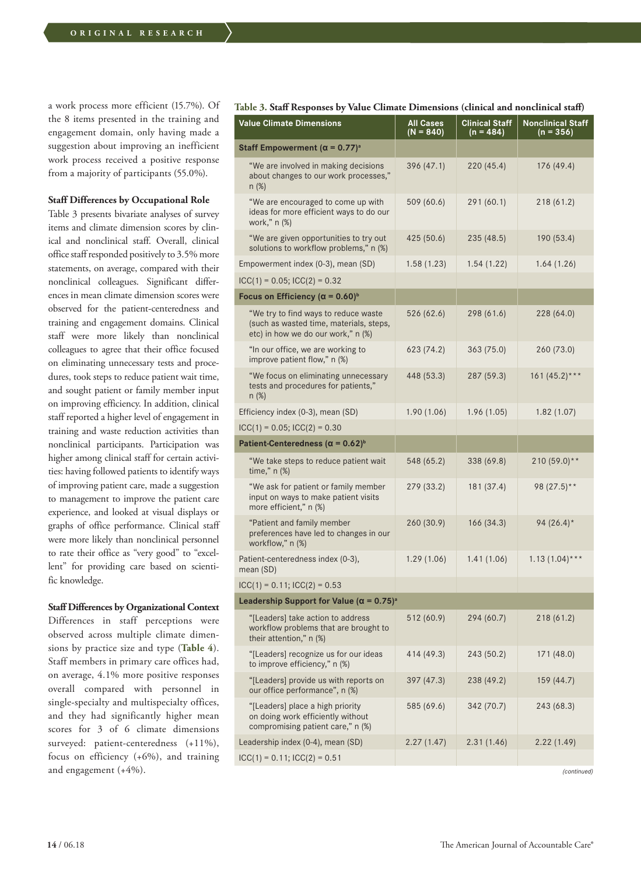a work process more efficient (15.7%). Of the 8 items presented in the training and engagement domain, only having made a suggestion about improving an inefficient work process received a positive response from a majority of participants (55.0%).

#### **Staff Differences by Occupational Role**

Table 3 presents bivariate analyses of survey items and climate dimension scores by clinical and nonclinical staff. Overall, clinical office staff responded positively to 3.5% more statements, on average, compared with their nonclinical colleagues. Significant differences in mean climate dimension scores were observed for the patient-centeredness and training and engagement domains. Clinical staff were more likely than nonclinical colleagues to agree that their office focused on eliminating unnecessary tests and procedures, took steps to reduce patient wait time, and sought patient or family member input on improving efficiency. In addition, clinical staff reported a higher level of engagement in training and waste reduction activities than nonclinical participants. Participation was higher among clinical staff for certain activities: having followed patients to identify ways of improving patient care, made a suggestion to management to improve the patient care experience, and looked at visual displays or graphs of office performance. Clinical staff were more likely than nonclinical personnel to rate their office as "very good" to "excellent" for providing care based on scientific knowledge.

#### **Staff Differences by Organizational Context**

Differences in staff perceptions were observed across multiple climate dimensions by practice size and type (**Table 4**). Staff members in primary care offices had, on average, 4.1% more positive responses overall compared with personnel in single-specialty and multispecialty offices, and they had significantly higher mean scores for 3 of 6 climate dimensions surveyed: patient-centeredness (+11%), focus on efficiency (+6%), and training and engagement (+4%).

## **Table 3. Staff Responses by Value Climate Dimensions (clinical and nonclinical staff)**

| <b>Value Climate Dimensions</b>                                                                                       | <b>All Cases</b><br>$(N = 840)$ | <b>Clinical Staff</b><br>(n = 484) | <b>Nonclinical Staff</b><br>(n = 356) |
|-----------------------------------------------------------------------------------------------------------------------|---------------------------------|------------------------------------|---------------------------------------|
| Staff Empowerment ( $\alpha = 0.77$ ) <sup>a</sup>                                                                    |                                 |                                    |                                       |
| "We are involved in making decisions<br>about changes to our work processes,"<br>n (%)                                | 396 (47.1)                      | 220 (45.4)                         | 176 (49.4)                            |
| "We are encouraged to come up with<br>ideas for more efficient ways to do our<br>work," n (%)                         | 509 (60.6)                      | 291 (60.1)                         | 218(61.2)                             |
| "We are given opportunities to try out<br>solutions to workflow problems," n (%)                                      | 425 (50.6)                      | 235 (48.5)                         | 190 (53.4)                            |
| Empowerment index (0-3), mean (SD)                                                                                    | 1.58(1.23)                      | 1.54(1.22)                         | 1.64(1.26)                            |
| $ICC(1) = 0.05$ ; $ICC(2) = 0.32$                                                                                     |                                 |                                    |                                       |
| Focus on Efficiency ( $\alpha$ = 0.60) <sup>b</sup>                                                                   |                                 |                                    |                                       |
| "We try to find ways to reduce waste<br>(such as wasted time, materials, steps,<br>etc) in how we do our work," n (%) | 526 (62.6)                      | 298 (61.6)                         | 228 (64.0)                            |
| "In our office, we are working to<br>improve patient flow," n (%)                                                     | 623 (74.2)                      | 363 (75.0)                         | 260 (73.0)                            |
| "We focus on eliminating unnecessary<br>tests and procedures for patients,"<br>n (%)                                  | 448 (53.3)                      | 287 (59.3)                         | $161 (45.2)***$                       |
| Efficiency index (0-3), mean (SD)                                                                                     | 1.90(1.06)                      | 1.96(1.05)                         | 1.82(1.07)                            |
| $ICC(1) = 0.05$ ; $ICC(2) = 0.30$                                                                                     |                                 |                                    |                                       |
| Patient-Centeredness ( $\alpha$ = 0.62) <sup>b</sup>                                                                  |                                 |                                    |                                       |
| "We take steps to reduce patient wait<br>time," n (%)                                                                 | 548 (65.2)                      | 338 (69.8)                         | $210(59.0)**$                         |
| "We ask for patient or family member<br>input on ways to make patient visits<br>more efficient," n (%)                | 279 (33.2)                      | 181 (37.4)                         | 98 (27.5)**                           |
| "Patient and family member<br>preferences have led to changes in our<br>workflow," n (%)                              | 260 (30.9)                      | 166 (34.3)                         | 94 $(26.4)^*$                         |
| Patient-centeredness index (0-3),<br>mean (SD)                                                                        | 1.29(1.06)                      | 1.41(1.06)                         | $1.13(1.04)$ ***                      |
| $ICC(1) = 0.11$ ; $ICC(2) = 0.53$                                                                                     |                                 |                                    |                                       |
| Leadership Support for Value ( $\alpha$ = 0.75) <sup>a</sup>                                                          |                                 |                                    |                                       |
| "[Leaders] take action to address<br>workflow problems that are brought to<br>their attention," n (%)                 | 512 (60.9)                      | 294 (60.7)                         | 218(61.2)                             |
| "[Leaders] recognize us for our ideas<br>to improve efficiency," n (%)                                                | 414 (49.3)                      | 243 (50.2)                         | 171 (48.0)                            |
| "[Leaders] provide us with reports on<br>our office performance", n (%)                                               | 397 (47.3)                      | 238 (49.2)                         | 159 (44.7)                            |
| "[Leaders] place a high priority<br>on doing work efficiently without<br>compromising patient care," n (%)            | 585 (69.6)                      | 342 (70.7)                         | 243 (68.3)                            |
| Leadership index (0-4), mean (SD)                                                                                     | 2.27(1.47)                      | 2.31(1.46)                         | 2.22(1.49)                            |
| $ICC(1) = 0.11$ ; $ICC(2) = 0.51$                                                                                     |                                 |                                    |                                       |

*(continued)*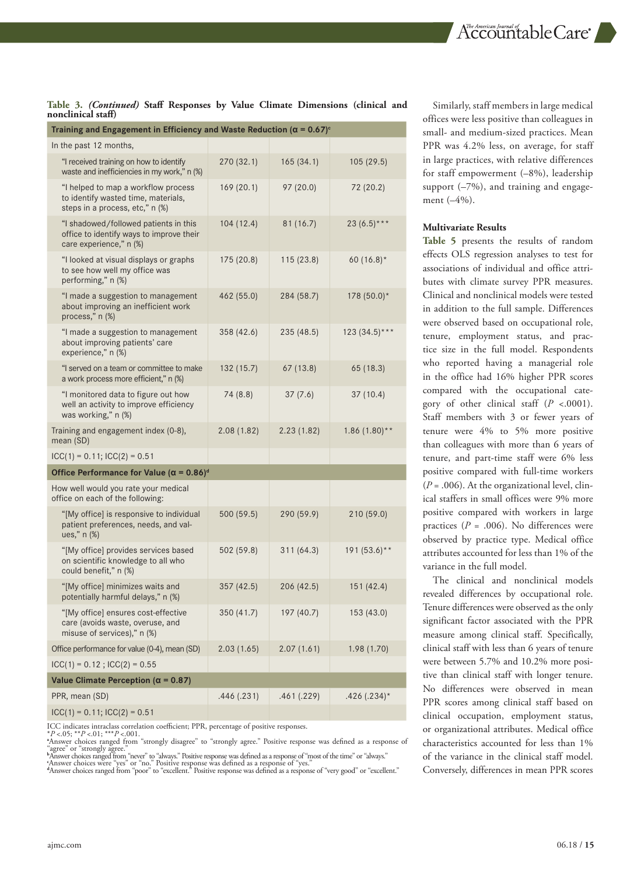# **Table 3.** *(Continued)* **Staff Responses by Value Climate Dimensions (clinical and nonclinical staff)**

| Training and Engagement in Efficiency and Waste Reduction ( $\alpha$ = 0.67) <sup>c</sup>                     |            |            |                           |  |  |  |
|---------------------------------------------------------------------------------------------------------------|------------|------------|---------------------------|--|--|--|
| In the past 12 months,                                                                                        |            |            |                           |  |  |  |
| "I received training on how to identify<br>waste and inefficiencies in my work," n (%)                        | 270 (32.1) | 165(34.1)  | 105(29.5)                 |  |  |  |
| "I helped to map a workflow process<br>to identify wasted time, materials,<br>steps in a process, etc," n (%) | 169(20.1)  | 97 (20.0)  | 72 (20.2)                 |  |  |  |
| "I shadowed/followed patients in this<br>office to identify ways to improve their<br>care experience," n (%)  | 104(12.4)  | 81(16.7)   | 23 $(6.5)$ ***            |  |  |  |
| "I looked at visual displays or graphs<br>to see how well my office was<br>performing," n (%)                 | 175 (20.8) | 115(23.8)  | 60 $(16.8)^*$             |  |  |  |
| "I made a suggestion to management<br>about improving an inefficient work<br>process," n (%)                  | 462 (55.0) | 284 (58.7) | 178 (50.0)*               |  |  |  |
| "I made a suggestion to management<br>about improving patients' care<br>experience," n (%)                    | 358 (42.6) | 235 (48.5) | $123(34.5)***$            |  |  |  |
| "I served on a team or committee to make<br>a work process more efficient," n (%)                             | 132 (15.7) | 67(13.8)   | 65 (18.3)                 |  |  |  |
| "I monitored data to figure out how<br>well an activity to improve efficiency<br>was working," n (%)          | 74 (8.8)   | 37(7.6)    | 37(10.4)                  |  |  |  |
| Training and engagement index (0-8),<br>mean (SD)                                                             | 2.08(1.82) | 2.23(1.82) | $1.86(1.80)$ **           |  |  |  |
| $ICC(1) = 0.11$ ; $ICC(2) = 0.51$                                                                             |            |            |                           |  |  |  |
| Office Performance for Value ( $\alpha$ = 0.86) <sup>d</sup>                                                  |            |            |                           |  |  |  |
| How well would you rate your medical<br>office on each of the following:                                      |            |            |                           |  |  |  |
| "[My office] is responsive to individual<br>patient preferences, needs, and val-<br>ues," n (%)               | 500 (59.5) | 290 (59.9) | 210 (59.0)                |  |  |  |
| "[My office] provides services based<br>on scientific knowledge to all who<br>could benefit," n (%)           | 502 (59.8) | 311 (64.3) | $191(53.6)$ **            |  |  |  |
| "[My office] minimizes waits and<br>potentially harmful delays," n (%)                                        | 357 (42.5) | 206 (42.5) | 151(42.4)                 |  |  |  |
| "[My office] ensures cost-effective<br>care (avoids waste, overuse, and<br>misuse of services)," n (%)        | 350 (41.7) | 197 (40.7) | 153 (43.0)                |  |  |  |
| Office performance for value (0-4), mean (SD)                                                                 | 2.03(1.65) | 2.07(1.61) | 1.98 (1.70)               |  |  |  |
| $ICC(1) = 0.12$ ; $ICC(2) = 0.55$                                                                             |            |            |                           |  |  |  |
| Value Climate Perception ( $\alpha$ = 0.87)                                                                   |            |            |                           |  |  |  |
| PPR, mean (SD)                                                                                                | .446(.231) | .461(.229) | $.426(.234)$ <sup>*</sup> |  |  |  |
| $ICC(1) = 0.11$ ; $ICC(2) = 0.51$                                                                             |            |            |                           |  |  |  |

ICC indicates intraclass correlation coefficient; PPR, percentage of positive responses.<br>\*P <.05; \*\*P <.01; \*\*\*P <.001.<br>\*Answer choices ranged from "strongly disagree" to "strongly agree." Positive response was defined as

"agree" or "strongly agree."<br>"Answer choices ranged from "never" to "always." Positive response was defined as a response of "most of the time" or "always."<br>"Answer choices were "yes" or "no." Positive response was defined

Similarly, staff members in large medical offices were less positive than colleagues in small- and medium-sized practices. Mean PPR was 4.2% less, on average, for staff in large practices, with relative differences for staff empowerment (–8%), leadership support (–7%), and training and engagement (–4%).

#### **Multivariate Results**

**Table 5** presents the results of random effects OLS regression analyses to test for associations of individual and office attributes with climate survey PPR measures. Clinical and nonclinical models were tested in addition to the full sample. Differences were observed based on occupational role, tenure, employment status, and practice size in the full model. Respondents who reported having a managerial role in the office had 16% higher PPR scores compared with the occupational category of other clinical staff (*P* <.0001). Staff members with 3 or fewer years of tenure were 4% to 5% more positive than colleagues with more than 6 years of tenure, and part-time staff were 6% less positive compared with full-time workers (*P* = .006). At the organizational level, clinical staffers in small offices were 9% more positive compared with workers in large practices (*P* = .006). No differences were observed by practice type. Medical office attributes accounted for less than 1% of the variance in the full model.

The clinical and nonclinical models revealed differences by occupational role. Tenure differences were observed as the only significant factor associated with the PPR measure among clinical staff. Specifically, clinical staff with less than 6 years of tenure were between 5.7% and 10.2% more positive than clinical staff with longer tenure. No differences were observed in mean PPR scores among clinical staff based on clinical occupation, employment status, or organizational attributes. Medical office characteristics accounted for less than 1% of the variance in the clinical staff model. Conversely, differences in mean PPR scores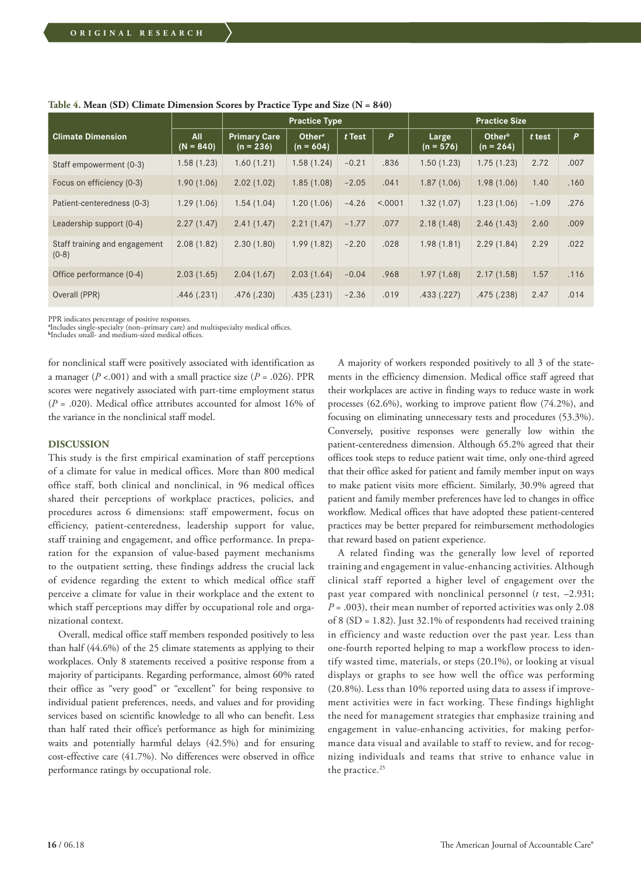|                                          |                    | <b>Practice Type</b>               |                                   |          |         | <b>Practice Size</b> |                                   |         |      |
|------------------------------------------|--------------------|------------------------------------|-----------------------------------|----------|---------|----------------------|-----------------------------------|---------|------|
| <b>Climate Dimension</b>                 | All<br>$(N = 840)$ | <b>Primary Care</b><br>$(n = 236)$ | Other <sup>a</sup><br>$(n = 604)$ | $t$ Test | P       | Large<br>$(n = 576)$ | Other <sup>b</sup><br>$(n = 264)$ | t test  | P    |
| Staff empowerment (0-3)                  | 1.58(1.23)         | 1.60(1.21)                         | 1.58(1.24)                        | $-0.21$  | .836    | 1.50(1.23)           | 1.75(1.23)                        | 2.72    | .007 |
| Focus on efficiency (0-3)                | 1.90(1.06)         | 2.02(1.02)                         | 1.85(1.08)                        | $-2.05$  | .041    | 1.87(1.06)           | 1.98(1.06)                        | 1.40    | .160 |
| Patient-centeredness (0-3)               | 1.29(1.06)         | 1.54(1.04)                         | 1.20(1.06)                        | $-4.26$  | < .0001 | 1.32(1.07)           | 1.23(1.06)                        | $-1.09$ | .276 |
| Leadership support (0-4)                 | 2.27(1.47)         | 2.41(1.47)                         | 2.21(1.47)                        | $-1.77$  | .077    | 2.18(1.48)           | 2.46(1.43)                        | 2.60    | .009 |
| Staff training and engagement<br>$(0-8)$ | 2.08(1.82)         | 2.30(1.80)                         | 1.99(1.82)                        | $-2.20$  | .028    | 1.98(1.81)           | 2.29(1.84)                        | 2.29    | .022 |
| Office performance (0-4)                 | 2.03(1.65)         | 2.04(1.67)                         | 2.03(1.64)                        | $-0.04$  | .968    | 1.97(1.68)           | 2.17(1.58)                        | 1.57    | .116 |
| Overall (PPR)                            | .446(.231)         | .476(.230)                         | .435(.231)                        | $-2.36$  | .019    | .433(.227)           | .475(.238)                        | 2.47    | .014 |

**Table 4. Mean (SD) Climate Dimension Scores by Practice Type and Size (N = 840)**

PPR indicates percentage of positive responses.<br>\*Includes single-specialty (non–primary care) and multispecialty medical offices.<br><sup>b</sup>Includes small- and medium-sized medical offices.

for nonclinical staff were positively associated with identification as a manager ( $P < .001$ ) and with a small practice size ( $P = .026$ ). PPR scores were negatively associated with part-time employment status (*P* = .020). Medical office attributes accounted for almost 16% of the variance in the nonclinical staff model.

#### **DISCUSSION**

This study is the first empirical examination of staff perceptions of a climate for value in medical offices. More than 800 medical office staff, both clinical and nonclinical, in 96 medical offices shared their perceptions of workplace practices, policies, and procedures across 6 dimensions: staff empowerment, focus on efficiency, patient-centeredness, leadership support for value, staff training and engagement, and office performance. In preparation for the expansion of value-based payment mechanisms to the outpatient setting, these findings address the crucial lack of evidence regarding the extent to which medical office staff perceive a climate for value in their workplace and the extent to which staff perceptions may differ by occupational role and organizational context.

Overall, medical office staff members responded positively to less than half (44.6%) of the 25 climate statements as applying to their workplaces. Only 8 statements received a positive response from a majority of participants. Regarding performance, almost 60% rated their office as "very good" or "excellent" for being responsive to individual patient preferences, needs, and values and for providing services based on scientific knowledge to all who can benefit. Less than half rated their office's performance as high for minimizing waits and potentially harmful delays (42.5%) and for ensuring cost-effective care (41.7%). No differences were observed in office performance ratings by occupational role.

A majority of workers responded positively to all 3 of the statements in the efficiency dimension. Medical office staff agreed that their workplaces are active in finding ways to reduce waste in work processes (62.6%), working to improve patient flow (74.2%), and focusing on eliminating unnecessary tests and procedures (53.3%). Conversely, positive responses were generally low within the patient-centeredness dimension. Although 65.2% agreed that their offices took steps to reduce patient wait time, only one-third agreed that their office asked for patient and family member input on ways to make patient visits more efficient. Similarly, 30.9% agreed that patient and family member preferences have led to changes in office workflow. Medical offices that have adopted these patient-centered practices may be better prepared for reimbursement methodologies that reward based on patient experience.

A related finding was the generally low level of reported training and engagement in value-enhancing activities. Although clinical staff reported a higher level of engagement over the past year compared with nonclinical personnel (*t* test, –2.931;  $P = .003$ ), their mean number of reported activities was only 2.08 of 8 (SD = 1.82). Just 32.1% of respondents had received training in efficiency and waste reduction over the past year. Less than one-fourth reported helping to map a workflow process to identify wasted time, materials, or steps (20.1%), or looking at visual displays or graphs to see how well the office was performing (20.8%). Less than 10% reported using data to assess if improvement activities were in fact working. These findings highlight the need for management strategies that emphasize training and engagement in value-enhancing activities, for making performance data visual and available to staff to review, and for recognizing individuals and teams that strive to enhance value in the practice.<sup>25</sup>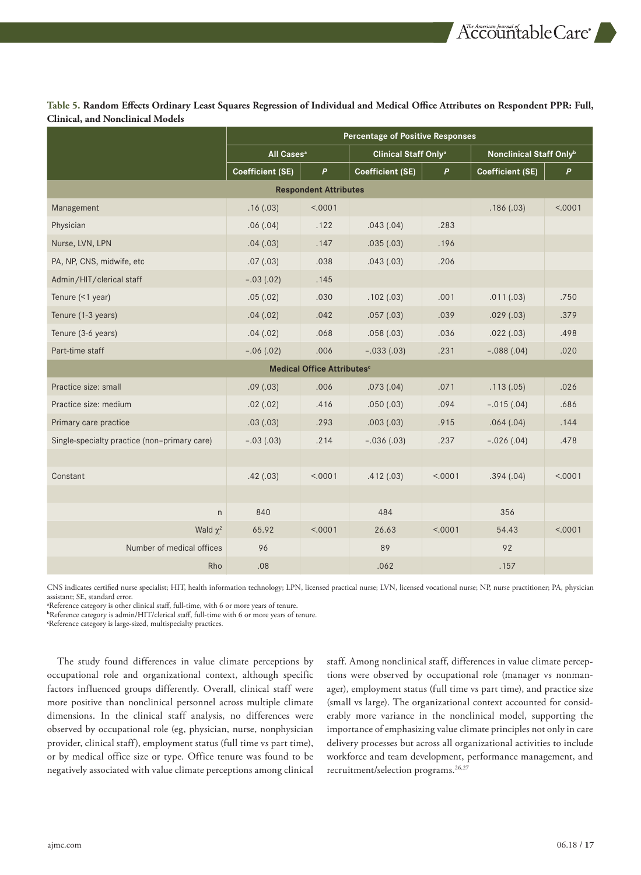**Table 5. Random Effects Ordinary Least Squares Regression of Individual and Medical Office Attributes on Respondent PPR: Full, Clinical, and Nonclinical Models**

|                                              | <b>Percentage of Positive Responses</b> |         |                                        |              |                         |              |
|----------------------------------------------|-----------------------------------------|---------|----------------------------------------|--------------|-------------------------|--------------|
|                                              | All Cases <sup>a</sup>                  |         | <b>Clinical Staff Only<sup>a</sup></b> |              | Nonclinical Staff Onlyb |              |
|                                              | <b>Coefficient (SE)</b>                 | P       | Coefficient (SE)                       | $\mathsf{P}$ | Coefficient (SE)        | $\mathsf{P}$ |
| <b>Respondent Attributes</b>                 |                                         |         |                                        |              |                         |              |
| Management                                   | .16(.03)                                | < .0001 |                                        |              | .186(.03)               | < .0001      |
| Physician                                    | .06(.04)                                | .122    | .043(.04)                              | .283         |                         |              |
| Nurse, LVN, LPN                              | .04(0.03)                               | .147    | .035(.03)                              | .196         |                         |              |
| PA, NP, CNS, midwife, etc                    | .07(.03)                                | .038    | .043(.03)                              | .206         |                         |              |
| Admin/HIT/clerical staff                     | $-.03(.02)$                             | .145    |                                        |              |                         |              |
| Tenure (<1 year)                             | .05(.02)                                | .030    | .102(.03)                              | .001         | .011(.03)               | .750         |
| Tenure (1-3 years)                           | .04(.02)                                | .042    | .057(.03)                              | .039         | .029(.03)               | .379         |
| Tenure (3-6 years)                           | .04(.02)                                | .068    | .058(.03)                              | .036         | .022(.03)               | .498         |
| Part-time staff                              | $-.06(.02)$                             | .006    | $-.033(.03)$                           | .231         | $-.088(.04)$            | .020         |
| Medical Office Attributes <sup>c</sup>       |                                         |         |                                        |              |                         |              |
| Practice size: small                         | .09(0.03)                               | .006    | .073(.04)                              | .071         | .113(.05)               | .026         |
| Practice size: medium                        | .02(.02)                                | .416    | .050(.03)                              | .094         | $-.015(.04)$            | .686         |
| Primary care practice                        | .03(0.03)                               | .293    | .003(.03)                              | .915         | .064(.04)               | .144         |
| Single-specialty practice (non-primary care) | $-.03(.03)$                             | .214    | $-.036(.03)$                           | .237         | $-.026(.04)$            | .478         |
|                                              |                                         |         |                                        |              |                         |              |
| Constant                                     | .42(.03)                                | < .0001 | .412(.03)                              | < .0001      | .394(.04)               | < .0001      |
|                                              |                                         |         |                                        |              |                         |              |
| n                                            | 840                                     |         | 484                                    |              | 356                     |              |
| Wald $\chi^2$                                | 65.92                                   | < .0001 | 26.63                                  | < .0001      | 54.43                   | < .0001      |
| Number of medical offices                    | 96                                      |         | 89                                     |              | 92                      |              |
| Rho                                          | .08                                     |         | .062                                   |              | .157                    |              |

CNS indicates certified nurse specialist; HIT, health information technology; LPN, licensed practical nurse; LVN, licensed vocational nurse; NP, nurse practitioner; PA, physician assistant; SE, standard error.<br>\*Reference category is other clinical staff, full-time, with 6 or more years of tenure.

**b** Reference category is admin/HIT/clerical staff, full-time with 6 or more years of tenure.

**c** Reference category is large-sized, multispecialty practices.

The study found differences in value climate perceptions by occupational role and organizational context, although specific factors influenced groups differently. Overall, clinical staff were more positive than nonclinical personnel across multiple climate dimensions. In the clinical staff analysis, no differences were observed by occupational role (eg, physician, nurse, nonphysician provider, clinical staff), employment status (full time vs part time), or by medical office size or type. Office tenure was found to be negatively associated with value climate perceptions among clinical staff. Among nonclinical staff, differences in value climate perceptions were observed by occupational role (manager vs nonmanager), employment status (full time vs part time), and practice size (small vs large). The organizational context accounted for considerably more variance in the nonclinical model, supporting the importance of emphasizing value climate principles not only in care delivery processes but across all organizational activities to include workforce and team development, performance management, and recruitment/selection programs.<sup>26,27</sup>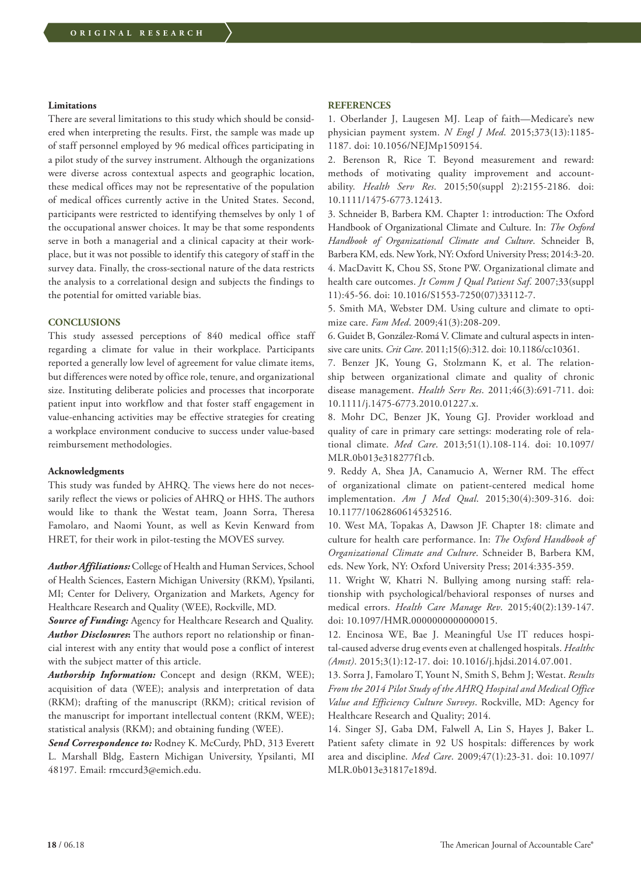#### **Limitations**

There are several limitations to this study which should be considered when interpreting the results. First, the sample was made up of staff personnel employed by 96 medical offices participating in a pilot study of the survey instrument. Although the organizations were diverse across contextual aspects and geographic location, these medical offices may not be representative of the population of medical offices currently active in the United States. Second, participants were restricted to identifying themselves by only 1 of the occupational answer choices. It may be that some respondents serve in both a managerial and a clinical capacity at their workplace, but it was not possible to identify this category of staff in the survey data. Finally, the cross-sectional nature of the data restricts the analysis to a correlational design and subjects the findings to the potential for omitted variable bias.

# **CONCLUSIONS**

This study assessed perceptions of 840 medical office staff regarding a climate for value in their workplace. Participants reported a generally low level of agreement for value climate items, but differences were noted by office role, tenure, and organizational size. Instituting deliberate policies and processes that incorporate patient input into workflow and that foster staff engagement in value-enhancing activities may be effective strategies for creating a workplace environment conducive to success under value-based reimbursement methodologies.

#### **Acknowledgments**

This study was funded by AHRQ. The views here do not necessarily reflect the views or policies of AHRQ or HHS. The authors would like to thank the Westat team, Joann Sorra, Theresa Famolaro, and Naomi Yount, as well as Kevin Kenward from HRET, for their work in pilot-testing the MOVES survey.

*Author Affiliations:* College of Health and Human Services, School of Health Sciences, Eastern Michigan University (RKM), Ypsilanti, MI; Center for Delivery, Organization and Markets, Agency for Healthcare Research and Quality (WEE), Rockville, MD.

*Source of Funding:* Agency for Healthcare Research and Quality. *Author Disclosures***:** The authors report no relationship or financial interest with any entity that would pose a conflict of interest with the subject matter of this article.

*Authorship Information:* Concept and design (RKM, WEE); acquisition of data (WEE); analysis and interpretation of data (RKM); drafting of the manuscript (RKM); critical revision of the manuscript for important intellectual content (RKM, WEE); statistical analysis (RKM); and obtaining funding (WEE).

Send Correspondence to: Rodney K. McCurdy, PhD, 313 Everett L. Marshall Bldg, Eastern Michigan University, Ypsilanti, MI 48197. Email: rmccurd3@emich.edu.

#### **REFERENCES**

1. Oberlander J, Laugesen MJ. Leap of faith—Medicare's new physician payment system. *N Engl J Med*. 2015;373(13):1185- 1187. doi: 10.1056/NEJMp1509154.

2. Berenson R, Rice T. Beyond measurement and reward: methods of motivating quality improvement and accountability. *Health Serv Res*. 2015;50(suppl 2):2155-2186. doi: 10.1111/1475-6773.12413.

3. Schneider B, Barbera KM. Chapter 1: introduction: The Oxford Handbook of Organizational Climate and Culture. In: *The Oxford Handbook of Organizational Climate and Culture*. Schneider B, Barbera KM, eds. New York, NY: Oxford University Press; 2014:3-20. 4. MacDavitt K, Chou SS, Stone PW. Organizational climate and health care outcomes. *Jt Comm J Qual Patient Saf*. 2007;33(suppl 11):45-56. doi: 10.1016/S1553-7250(07)33112-7.

5. Smith MA, Webster DM. Using culture and climate to optimize care. *Fam Med*. 2009;41(3):208-209.

6. Guidet B, González-Romá V. Climate and cultural aspects in intensive care units. *Crit Care*. 2011;15(6):312. doi: 10.1186/cc10361.

7. Benzer JK, Young G, Stolzmann K, et al. The relationship between organizational climate and quality of chronic disease management. *Health Serv Res*. 2011;46(3):691-711. doi: 10.1111/j.1475-6773.2010.01227.x.

8. Mohr DC, Benzer JK, Young GJ. Provider workload and quality of care in primary care settings: moderating role of relational climate. *Med Care*. 2013;51(1).108-114. doi: 10.1097/ MLR.0b013e318277f1cb.

9. Reddy A, Shea JA, Canamucio A, Werner RM. The effect of organizational climate on patient-centered medical home implementation. *Am J Med Qual*. 2015;30(4):309-316. doi: 10.1177/1062860614532516.

10. West MA, Topakas A, Dawson JF. Chapter 18: climate and culture for health care performance. In: *The Oxford Handbook of Organizational Climate and Culture*. Schneider B, Barbera KM, eds. New York, NY: Oxford University Press; 2014:335-359.

11. Wright W, Khatri N. Bullying among nursing staff: relationship with psychological/behavioral responses of nurses and medical errors. *Health Care Manage Rev*. 2015;40(2):139-147. doi: 10.1097/HMR.0000000000000015.

12. Encinosa WE, Bae J. Meaningful Use IT reduces hospital-caused adverse drug events even at challenged hospitals. *Healthc (Amst)*. 2015;3(1):12-17. doi: 10.1016/j.hjdsi.2014.07.001.

13. Sorra J, Famolaro T, Yount N, Smith S, Behm J; Westat. *Results From the 2014 Pilot Study of the AHRQ Hospital and Medical Office Value and Efficiency Culture Surveys*. Rockville, MD: Agency for Healthcare Research and Quality; 2014.

14. Singer SJ, Gaba DM, Falwell A, Lin S, Hayes J, Baker L. Patient safety climate in 92 US hospitals: differences by work area and discipline. *Med Care*. 2009;47(1):23-31. doi: 10.1097/ MLR.0b013e31817e189d.